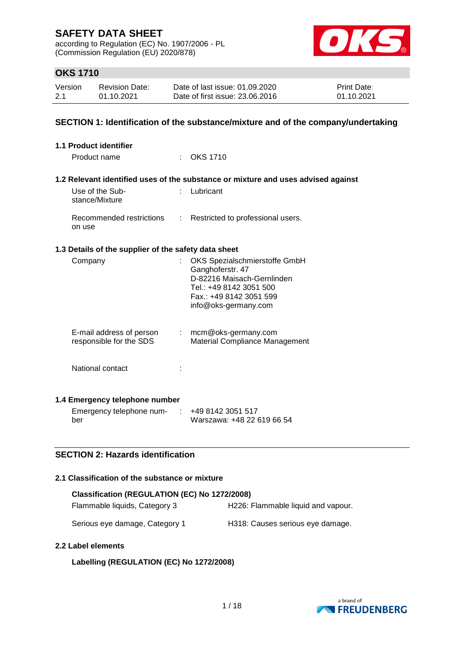according to Regulation (EC) No. 1907/2006 - PL (Commission Regulation (EU) 2020/878)



### **OKS 1710**

| Version | <b>Revision Date:</b> | Date of last issue: 01.09.2020  | <b>Print Date:</b> |
|---------|-----------------------|---------------------------------|--------------------|
| 2.1     | 01.10.2021            | Date of first issue: 23,06,2016 | 01.10.2021         |

### **SECTION 1: Identification of the substance/mixture and of the company/undertaking**

| 1.1 Product identifier                               |    |                                                                                                                                                               |
|------------------------------------------------------|----|---------------------------------------------------------------------------------------------------------------------------------------------------------------|
| Product name                                         |    | $\therefore$ OKS 1710                                                                                                                                         |
|                                                      |    | 1.2 Relevant identified uses of the substance or mixture and uses advised against                                                                             |
| Use of the Sub-<br>stance/Mixture                    | t. | Lubricant                                                                                                                                                     |
| Recommended restrictions<br>on use                   | t. | Restricted to professional users.                                                                                                                             |
| 1.3 Details of the supplier of the safety data sheet |    |                                                                                                                                                               |
| Company                                              |    | OKS Spezialschmierstoffe GmbH<br>Ganghoferstr. 47<br>D-82216 Maisach-Gernlinden<br>Tel.: +49 8142 3051 500<br>Fax.: +49 8142 3051 599<br>info@oks-germany.com |
| E-mail address of person<br>responsible for the SDS  |    | $:$ mcm@oks-germany.com<br><b>Material Compliance Management</b>                                                                                              |
| National contact                                     |    |                                                                                                                                                               |
| 1.4 Emergency telephone number                       |    |                                                                                                                                                               |
| Emergency telephone num-<br>ber                      |    | +49 8142 3051 517<br>Warszawa: +48 22 619 66 54                                                                                                               |

### **SECTION 2: Hazards identification**

### **2.1 Classification of the substance or mixture**

| Classification (REGULATION (EC) No 1272/2008) |                                    |
|-----------------------------------------------|------------------------------------|
| Flammable liquids, Category 3                 | H226: Flammable liquid and vapour. |
| Serious eye damage, Category 1                | H318: Causes serious eye damage.   |

### **2.2 Label elements**

### **Labelling (REGULATION (EC) No 1272/2008)**

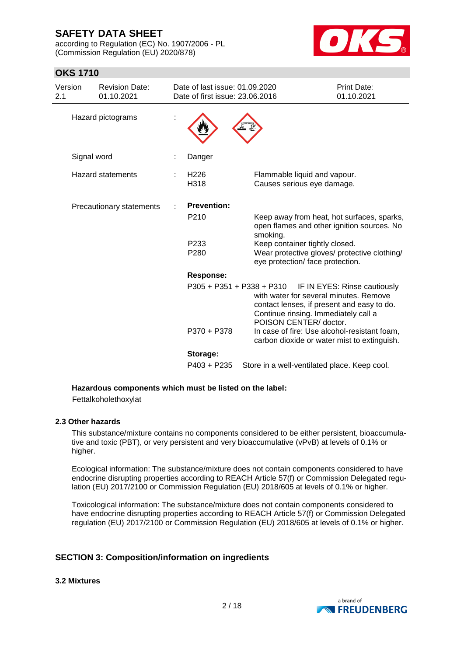according to Regulation (EC) No. 1907/2006 - PL (Commission Regulation (EU) 2020/878)



### **OKS 1710**

| Version<br>2.1 |             | <b>Revision Date:</b><br>01.10.2021 | Date of last issue: 01.09.2020<br>Date of first issue: 23.06.2016 |                                                                                                                                                        | <b>Print Date:</b><br>01.10.2021 |
|----------------|-------------|-------------------------------------|-------------------------------------------------------------------|--------------------------------------------------------------------------------------------------------------------------------------------------------|----------------------------------|
|                |             | Hazard pictograms                   |                                                                   |                                                                                                                                                        |                                  |
|                | Signal word |                                     | Danger                                                            |                                                                                                                                                        |                                  |
|                |             | <b>Hazard statements</b>            | H <sub>226</sub><br>H318                                          | Flammable liquid and vapour.<br>Causes serious eye damage.                                                                                             |                                  |
|                |             | Precautionary statements            | <b>Prevention:</b>                                                |                                                                                                                                                        |                                  |
|                |             |                                     | P <sub>210</sub>                                                  | Keep away from heat, hot surfaces, sparks,<br>open flames and other ignition sources. No<br>smoking.                                                   |                                  |
|                |             |                                     | P <sub>233</sub><br>P280                                          | Keep container tightly closed.<br>Wear protective gloves/ protective clothing/<br>eye protection/ face protection.                                     |                                  |
|                |             |                                     | Response:                                                         |                                                                                                                                                        |                                  |
|                |             |                                     | $P305 + P351 + P338 + P310$                                       | with water for several minutes. Remove<br>contact lenses, if present and easy to do.<br>Continue rinsing. Immediately call a<br>POISON CENTER/ doctor. | IF IN EYES: Rinse cautiously     |
|                |             |                                     | P370 + P378                                                       | In case of fire: Use alcohol-resistant foam,<br>carbon dioxide or water mist to extinguish.                                                            |                                  |
|                |             |                                     | Storage:                                                          |                                                                                                                                                        |                                  |
|                |             |                                     | P403 + P235                                                       | Store in a well-ventilated place. Keep cool.                                                                                                           |                                  |

#### **Hazardous components which must be listed on the label:**

Fettalkoholethoxylat

### **2.3 Other hazards**

This substance/mixture contains no components considered to be either persistent, bioaccumulative and toxic (PBT), or very persistent and very bioaccumulative (vPvB) at levels of 0.1% or higher.

Ecological information: The substance/mixture does not contain components considered to have endocrine disrupting properties according to REACH Article 57(f) or Commission Delegated regulation (EU) 2017/2100 or Commission Regulation (EU) 2018/605 at levels of 0.1% or higher.

Toxicological information: The substance/mixture does not contain components considered to have endocrine disrupting properties according to REACH Article 57(f) or Commission Delegated regulation (EU) 2017/2100 or Commission Regulation (EU) 2018/605 at levels of 0.1% or higher.

### **SECTION 3: Composition/information on ingredients**

**3.2 Mixtures**

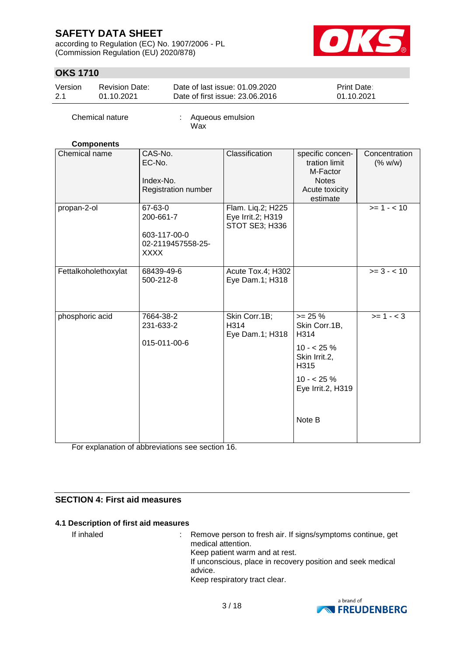according to Regulation (EC) No. 1907/2006 - PL (Commission Regulation (EU) 2020/878)



### **OKS 1710**

| Version | <b>Revision Date:</b> | Date of last issue: 01.09.2020  | <b>Print Date:</b> |
|---------|-----------------------|---------------------------------|--------------------|
| 2.1     | 01.10.2021            | Date of first issue: 23,06,2016 | 01.10.2021         |

Chemical nature : Aqueous emulsion Wax

### **Components**

| Chemical name        | CAS-No.<br>EC-No.<br>Index-No.<br>Registration number                    | Classification                                           | specific concen-<br>tration limit<br>M-Factor<br><b>Notes</b><br>Acute toxicity<br>estimate                              | Concentration<br>(% w/w) |
|----------------------|--------------------------------------------------------------------------|----------------------------------------------------------|--------------------------------------------------------------------------------------------------------------------------|--------------------------|
| propan-2-ol          | 67-63-0<br>200-661-7<br>603-117-00-0<br>02-2119457558-25-<br><b>XXXX</b> | Flam. Liq.2; H225<br>Eye Irrit.2; H319<br>STOT SE3; H336 |                                                                                                                          | $>= 1 - 10$              |
| Fettalkoholethoxylat | 68439-49-6<br>500-212-8                                                  | Acute Tox.4; H302<br>Eye Dam.1; H318                     |                                                                                                                          | $>= 3 - 10$              |
| phosphoric acid      | 7664-38-2<br>231-633-2<br>015-011-00-6                                   | Skin Corr.1B;<br>H314<br>Eye Dam.1; H318                 | $>= 25 %$<br>Skin Corr.1B,<br>H314<br>$10 - 25%$<br>Skin Irrit.2,<br>H315<br>$10 - 25 \%$<br>Eye Irrit.2, H319<br>Note B | $>= 1 - 3$               |

For explanation of abbreviations see section 16.

### **SECTION 4: First aid measures**

### **4.1 Description of first aid measures**

If inhaled : Remove person to fresh air. If signs/symptoms continue, get medical attention. Keep patient warm and at rest. If unconscious, place in recovery position and seek medical advice. Keep respiratory tract clear.

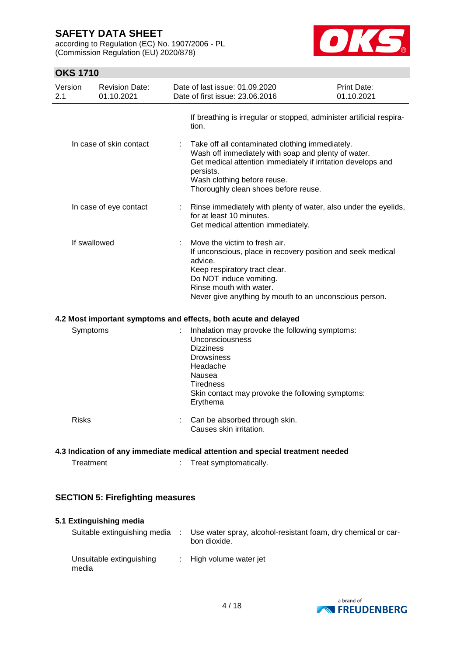according to Regulation (EC) No. 1907/2006 - PL (Commission Regulation (EU) 2020/878)



## **OKS 1710**

| Version<br>2.1                                                                                                        | <b>Revision Date:</b><br>01.10.2021                             |    | Date of last issue: 01.09.2020<br>Date of first issue: 23,06,2016                                                                                                                                                                                          | Print Date:<br>01.10.2021 |  |
|-----------------------------------------------------------------------------------------------------------------------|-----------------------------------------------------------------|----|------------------------------------------------------------------------------------------------------------------------------------------------------------------------------------------------------------------------------------------------------------|---------------------------|--|
|                                                                                                                       |                                                                 |    | If breathing is irregular or stopped, administer artificial respira-<br>tion.                                                                                                                                                                              |                           |  |
|                                                                                                                       | In case of skin contact                                         |    | Take off all contaminated clothing immediately.<br>Wash off immediately with soap and plenty of water.<br>Get medical attention immediately if irritation develops and<br>persists.<br>Wash clothing before reuse.<br>Thoroughly clean shoes before reuse. |                           |  |
|                                                                                                                       | In case of eye contact                                          | t. | Rinse immediately with plenty of water, also under the eyelids,<br>for at least 10 minutes.<br>Get medical attention immediately.                                                                                                                          |                           |  |
|                                                                                                                       | If swallowed                                                    |    | Move the victim to fresh air.<br>If unconscious, place in recovery position and seek medical<br>advice.<br>Keep respiratory tract clear.<br>Do NOT induce vomiting.<br>Rinse mouth with water.<br>Never give anything by mouth to an unconscious person.   |                           |  |
|                                                                                                                       | 4.2 Most important symptoms and effects, both acute and delayed |    |                                                                                                                                                                                                                                                            |                           |  |
| Symptoms                                                                                                              |                                                                 |    | Inhalation may provoke the following symptoms:<br><b>Unconsciousness</b><br><b>Dizziness</b><br><b>Drowsiness</b><br>Headache<br>Nausea<br><b>Tiredness</b><br>Skin contact may provoke the following symptoms:<br>Erythema                                |                           |  |
| <b>Risks</b>                                                                                                          |                                                                 |    | : Can be absorbed through skin.<br>Causes skin irritation.                                                                                                                                                                                                 |                           |  |
| 4.3 Indication of any immediate medical attention and special treatment needed<br>Treatment<br>Treat symptomatically. |                                                                 |    |                                                                                                                                                                                                                                                            |                           |  |

### **SECTION 5: Firefighting measures**

| 5.1 Extinguishing media           |                                                                               |
|-----------------------------------|-------------------------------------------------------------------------------|
| Suitable extinguishing media      | Use water spray, alcohol-resistant foam, dry chemical or car-<br>bon dioxide. |
| Unsuitable extinguishing<br>media | : High volume water jet                                                       |

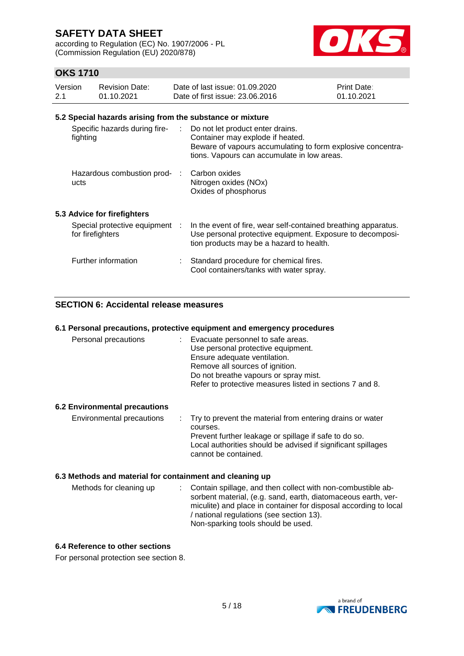according to Regulation (EC) No. 1907/2006 - PL (Commission Regulation (EU) 2020/878)



### **OKS 1710**

| Version | Revision Date: | Date of last issue: 01.09.2020  | <b>Print Date:</b> |
|---------|----------------|---------------------------------|--------------------|
| 2.1     | 01.10.2021     | Date of first issue: 23,06,2016 | 01.10.2021         |

#### **5.2 Special hazards arising from the substance or mixture**

| Specific hazards during fire-<br>fighting          | t in | Do not let product enter drains.<br>Container may explode if heated.<br>Beware of vapours accumulating to form explosive concentra-<br>tions. Vapours can accumulate in low areas. |
|----------------------------------------------------|------|------------------------------------------------------------------------------------------------------------------------------------------------------------------------------------|
| Hazardous combustion prod-<br>ucts                 |      | Carbon oxides<br>Nitrogen oxides (NOx)<br>Oxides of phosphorus                                                                                                                     |
| 5.3 Advice for firefighters                        |      |                                                                                                                                                                                    |
| Special protective equipment :<br>for firefighters |      | In the event of fire, wear self-contained breathing apparatus.<br>Use personal protective equipment. Exposure to decomposi-<br>tion products may be a hazard to health.            |
| Further information                                | ÷    | Standard procedure for chemical fires.<br>Cool containers/tanks with water spray.                                                                                                  |

### **SECTION 6: Accidental release measures**

#### **6.1 Personal precautions, protective equipment and emergency procedures**

| Personal precautions | : Evacuate personnel to safe areas.                      |
|----------------------|----------------------------------------------------------|
|                      | Use personal protective equipment.                       |
|                      | Ensure adequate ventilation.                             |
|                      | Remove all sources of ignition.                          |
|                      | Do not breathe vapours or spray mist.                    |
|                      | Refer to protective measures listed in sections 7 and 8. |
|                      |                                                          |

#### **6.2 Environmental precautions**

#### **6.3 Methods and material for containment and cleaning up**

| Methods for cleaning up | : Contain spillage, and then collect with non-combustible ab-<br>sorbent material, (e.g. sand, earth, diatomaceous earth, ver-<br>miculite) and place in container for disposal according to local |
|-------------------------|----------------------------------------------------------------------------------------------------------------------------------------------------------------------------------------------------|
|                         | / national regulations (see section 13).<br>Non-sparking tools should be used.                                                                                                                     |

### **6.4 Reference to other sections**

For personal protection see section 8.

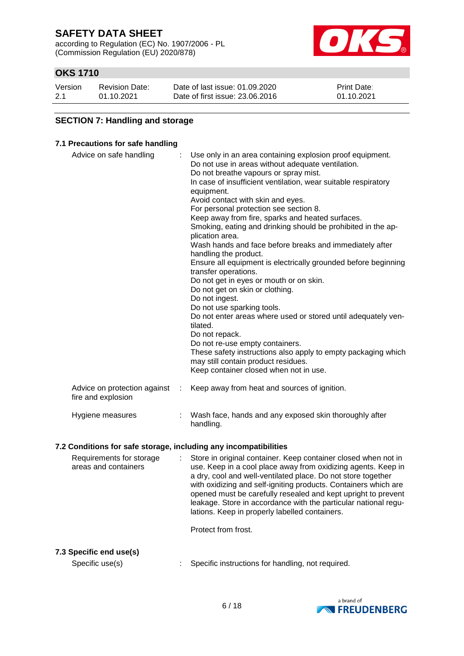according to Regulation (EC) No. 1907/2006 - PL (Commission Regulation (EU) 2020/878)



### **OKS 1710**

| Version | <b>Revision Date:</b> | Date of last issue: 01.09.2020  | <b>Print Date:</b> |
|---------|-----------------------|---------------------------------|--------------------|
| 2.1     | 01.10.2021            | Date of first issue: 23,06,2016 | 01.10.2021         |

### **SECTION 7: Handling and storage**

#### **7.1 Precautions for safe handling**

| Advice on safe handling                            |   | Use only in an area containing explosion proof equipment.<br>Do not use in areas without adequate ventilation.<br>Do not breathe vapours or spray mist.<br>In case of insufficient ventilation, wear suitable respiratory<br>equipment.<br>Avoid contact with skin and eyes.<br>For personal protection see section 8.<br>Keep away from fire, sparks and heated surfaces.<br>Smoking, eating and drinking should be prohibited in the ap-<br>plication area.<br>Wash hands and face before breaks and immediately after<br>handling the product.<br>Ensure all equipment is electrically grounded before beginning<br>transfer operations.<br>Do not get in eyes or mouth or on skin.<br>Do not get on skin or clothing.<br>Do not ingest.<br>Do not use sparking tools.<br>Do not enter areas where used or stored until adequately ven-<br>tilated.<br>Do not repack.<br>Do not re-use empty containers.<br>These safety instructions also apply to empty packaging which<br>may still contain product residues.<br>Keep container closed when not in use. |
|----------------------------------------------------|---|---------------------------------------------------------------------------------------------------------------------------------------------------------------------------------------------------------------------------------------------------------------------------------------------------------------------------------------------------------------------------------------------------------------------------------------------------------------------------------------------------------------------------------------------------------------------------------------------------------------------------------------------------------------------------------------------------------------------------------------------------------------------------------------------------------------------------------------------------------------------------------------------------------------------------------------------------------------------------------------------------------------------------------------------------------------|
| Advice on protection against<br>fire and explosion | ÷ | Keep away from heat and sources of ignition.                                                                                                                                                                                                                                                                                                                                                                                                                                                                                                                                                                                                                                                                                                                                                                                                                                                                                                                                                                                                                  |
| Hygiene measures                                   |   | Wash face, hands and any exposed skin thoroughly after<br>handling.                                                                                                                                                                                                                                                                                                                                                                                                                                                                                                                                                                                                                                                                                                                                                                                                                                                                                                                                                                                           |

#### **7.2 Conditions for safe storage, including any incompatibilities**

Requirements for storage areas and containers : Store in original container. Keep container closed when not in use. Keep in a cool place away from oxidizing agents. Keep in a dry, cool and well-ventilated place. Do not store together with oxidizing and self-igniting products. Containers which are opened must be carefully resealed and kept upright to prevent leakage. Store in accordance with the particular national regulations. Keep in properly labelled containers.

Protect from frost.

### **7.3 Specific end use(s)**

Specific use(s) : Specific instructions for handling, not required.

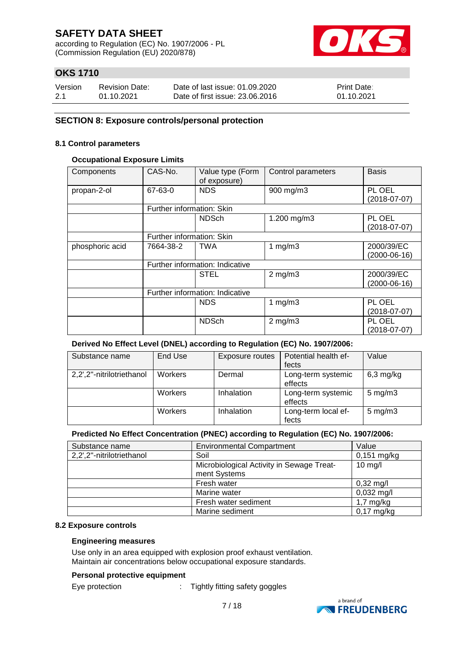according to Regulation (EC) No. 1907/2006 - PL (Commission Regulation (EU) 2020/878)



### **OKS 1710**

| Version | <b>Revision Date:</b> | Date of last issue: 01.09.2020  | <b>Print Date:</b> |
|---------|-----------------------|---------------------------------|--------------------|
| 2.1     | 01.10.2021            | Date of first issue: 23,06,2016 | 01.10.2021         |

### **SECTION 8: Exposure controls/personal protection**

#### **8.1 Control parameters**

#### **Occupational Exposure Limits**

| Components      | CAS-No.                   | Value type (Form<br>of exposure) | Control parameters | <b>Basis</b>   |
|-----------------|---------------------------|----------------------------------|--------------------|----------------|
| propan-2-ol     | 67-63-0                   | <b>NDS</b>                       | 900 mg/m3          | PL OEL         |
|                 |                           |                                  |                    | $(2018-07-07)$ |
|                 | Further information: Skin |                                  |                    |                |
|                 |                           | <b>NDSch</b>                     | 1.200 mg/m3        | PL OEL         |
|                 |                           |                                  |                    | $(2018-07-07)$ |
|                 | Further information: Skin |                                  |                    |                |
| phosphoric acid | 7664-38-2                 | <b>TWA</b>                       | 1 $mg/m3$          | 2000/39/EC     |
|                 |                           |                                  |                    | (2000-06-16)   |
|                 |                           | Further information: Indicative  |                    |                |
|                 |                           | <b>STEL</b>                      | $2$ mg/m $3$       | 2000/39/EC     |
|                 |                           |                                  |                    | $(2000-06-16)$ |
|                 |                           | Further information: Indicative  |                    |                |
|                 |                           | <b>NDS</b>                       | 1 $mg/m3$          | PL OEL         |
|                 |                           |                                  |                    | (2018-07-07)   |
|                 |                           | <b>NDSch</b>                     | $2$ mg/m $3$       | PL OEL         |
|                 |                           |                                  |                    | $(2018-07-07)$ |

### **Derived No Effect Level (DNEL) according to Regulation (EC) No. 1907/2006:**

| Substance name            | End Use        | Exposure routes | Potential health ef-<br>fects | Value              |
|---------------------------|----------------|-----------------|-------------------------------|--------------------|
| 2,2',2"-nitrilotriethanol | <b>Workers</b> | Dermal          | Long-term systemic<br>effects | $6,3$ mg/kg        |
|                           | Workers        | Inhalation      | Long-term systemic<br>effects | $5 \text{ mg/m}$ 3 |
|                           | Workers        | Inhalation      | Long-term local ef-<br>fects  | $5 \text{ mg/m}$ 3 |

### **Predicted No Effect Concentration (PNEC) according to Regulation (EC) No. 1907/2006:**

| Substance name            | <b>Environmental Compartment</b>          | Value               |
|---------------------------|-------------------------------------------|---------------------|
| 2,2',2"-nitrilotriethanol | Soil                                      | $0,151$ mg/kg       |
|                           | Microbiological Activity in Sewage Treat- | $10$ mg/l           |
|                           | ment Systems                              |                     |
|                           | Fresh water                               | $0,32 \text{ mg/l}$ |
|                           | Marine water                              | $0,032$ mg/l        |
|                           | Fresh water sediment                      | $1,7$ mg/kg         |
|                           | Marine sediment                           | $0,17$ mg/kg        |

#### **8.2 Exposure controls**

### **Engineering measures**

Use only in an area equipped with explosion proof exhaust ventilation. Maintain air concentrations below occupational exposure standards.

### **Personal protective equipment**

Eye protection : Tightly fitting safety goggles

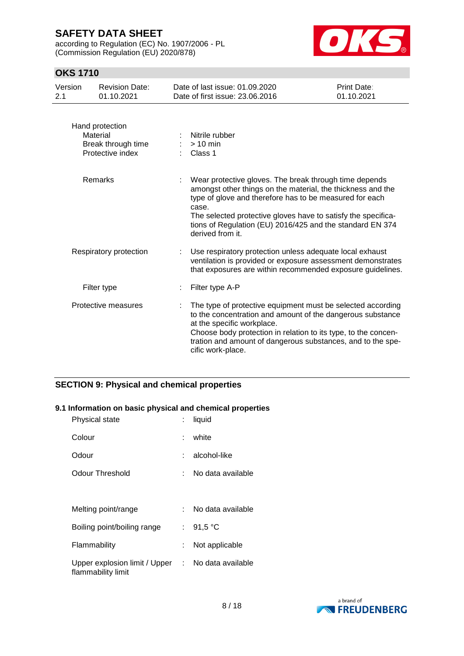according to Regulation (EC) No. 1907/2006 - PL (Commission Regulation (EU) 2020/878)



### **OKS 1710**

| Version<br>2.1 | <b>Revision Date:</b><br>01.10.2021                                   | Date of last issue: 01.09.2020<br>Date of first issue: 23.06.2016                                                                                                                                                                                                                                                                           | Print Date:<br>01.10.2021 |
|----------------|-----------------------------------------------------------------------|---------------------------------------------------------------------------------------------------------------------------------------------------------------------------------------------------------------------------------------------------------------------------------------------------------------------------------------------|---------------------------|
|                | Hand protection<br>Material<br>Break through time<br>Protective index | Nitrile rubber<br>$>10$ min<br>Class 1                                                                                                                                                                                                                                                                                                      |                           |
|                | Remarks                                                               | Wear protective gloves. The break through time depends<br>amongst other things on the material, the thickness and the<br>type of glove and therefore has to be measured for each<br>case.<br>The selected protective gloves have to satisfy the specifica-<br>tions of Regulation (EU) 2016/425 and the standard EN 374<br>derived from it. |                           |
|                | Respiratory protection                                                | Use respiratory protection unless adequate local exhaust<br>ventilation is provided or exposure assessment demonstrates<br>that exposures are within recommended exposure guidelines.                                                                                                                                                       |                           |
|                | Filter type                                                           | Filter type A-P                                                                                                                                                                                                                                                                                                                             |                           |
|                | Protective measures                                                   | The type of protective equipment must be selected according<br>to the concentration and amount of the dangerous substance<br>at the specific workplace.<br>Choose body protection in relation to its type, to the concen-<br>tration and amount of dangerous substances, and to the spe-<br>cific work-place.                               |                           |

### **SECTION 9: Physical and chemical properties**

### **9.1 Information on basic physical and chemical properties**

| Physical state                                                          |    | liquid            |
|-------------------------------------------------------------------------|----|-------------------|
| Colour                                                                  | t. | white             |
| Odour                                                                   |    | alcohol-like      |
| Odour Threshold                                                         |    | No data available |
|                                                                         |    |                   |
| Melting point/range                                                     |    | No data available |
| Boiling point/boiling range                                             |    | : $91,5 °C$       |
| Flammability                                                            |    | Not applicable    |
| Upper explosion limit / Upper : No data available<br>flammability limit |    |                   |

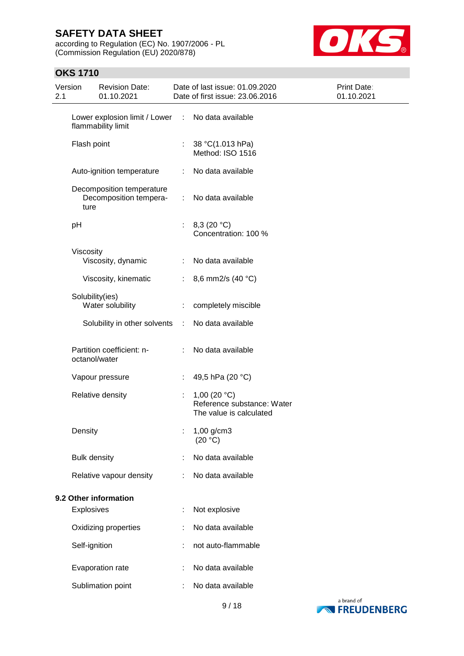according to Regulation (EC) No. 1907/2006 - PL (Commission Regulation (EU) 2020/878)



### **OKS 1710**

| Version<br>2.1 |                     | <b>Revision Date:</b><br>01.10.2021                 |    | Date of last issue: 01.09.2020<br>Date of first issue: 23.06.2016       | Print Date:<br>01.10.2021 |
|----------------|---------------------|-----------------------------------------------------|----|-------------------------------------------------------------------------|---------------------------|
|                |                     | Lower explosion limit / Lower<br>flammability limit | ÷  | No data available                                                       |                           |
|                | Flash point         |                                                     | ÷  | 38 °C(1.013 hPa)<br>Method: ISO 1516                                    |                           |
|                |                     | Auto-ignition temperature                           | ÷  | No data available                                                       |                           |
|                | ture                | Decomposition temperature<br>Decomposition tempera- | ÷  | No data available                                                       |                           |
|                | pH                  |                                                     | ÷. | 8,3 (20 °C)<br>Concentration: 100 %                                     |                           |
|                | Viscosity           | Viscosity, dynamic                                  | ÷  | No data available                                                       |                           |
|                |                     | Viscosity, kinematic                                | ÷  | 8,6 mm2/s (40 °C)                                                       |                           |
|                |                     |                                                     |    |                                                                         |                           |
|                | Solubility(ies)     | Water solubility                                    |    | completely miscible                                                     |                           |
|                |                     | Solubility in other solvents                        | ÷  | No data available                                                       |                           |
|                | octanol/water       | Partition coefficient: n-                           |    | No data available                                                       |                           |
|                |                     | Vapour pressure                                     |    | 49,5 hPa (20 °C)                                                        |                           |
|                |                     | Relative density                                    |    | 1,00 $(20 °C)$<br>Reference substance: Water<br>The value is calculated |                           |
|                | Density             |                                                     |    | 1,00 g/cm3<br>(20 °C)                                                   |                           |
|                | <b>Bulk density</b> |                                                     |    | No data available                                                       |                           |
|                |                     | Relative vapour density                             | ÷  | No data available                                                       |                           |
|                |                     | 9.2 Other information                               |    |                                                                         |                           |
|                | Explosives          |                                                     | t  | Not explosive                                                           |                           |
|                |                     | Oxidizing properties                                |    | No data available                                                       |                           |
|                | Self-ignition       |                                                     |    | not auto-flammable                                                      |                           |
|                |                     | Evaporation rate                                    |    | No data available                                                       |                           |
|                |                     | Sublimation point                                   |    | No data available                                                       |                           |

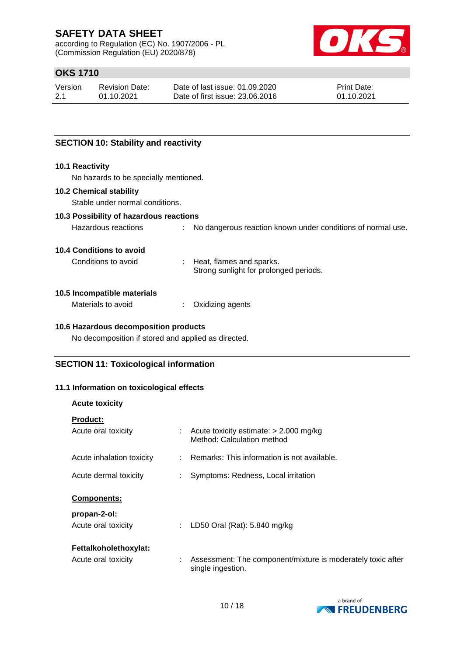according to Regulation (EC) No. 1907/2006 - PL (Commission Regulation (EU) 2020/878)



### **OKS 1710**

| Version | Revision Date: | Date of last issue: 01.09.2020  | <b>Print Date:</b> |
|---------|----------------|---------------------------------|--------------------|
| 2.1     | 01.10.2021     | Date of first issue: 23,06,2016 | 01.10.2021         |

### **SECTION 10: Stability and reactivity**

#### **10.1 Reactivity**

No hazards to be specially mentioned.

### **10.2 Chemical stability**

Stable under normal conditions.

#### **10.3 Possibility of hazardous reactions**

Hazardous reactions : No dangerous reaction known under conditions of normal use.

#### **10.4 Conditions to avoid**

Conditions to avoid : Heat, flames and sparks. Strong sunlight for prolonged periods.

#### **10.5 Incompatible materials**

Materials to avoid : Oxidizing agents

#### **10.6 Hazardous decomposition products**

No decomposition if stored and applied as directed.

### **SECTION 11: Toxicological information**

### **11.1 Information on toxicological effects**

#### **Acute toxicity**

| <b>Product:</b>           |    |                                                                                  |
|---------------------------|----|----------------------------------------------------------------------------------|
| Acute oral toxicity       |    | : Acute toxicity estimate: $> 2.000$ mg/kg<br>Method: Calculation method         |
| Acute inhalation toxicity |    | $\therefore$ Remarks: This information is not available.                         |
| Acute dermal toxicity     |    | Symptoms: Redness, Local irritation                                              |
| <b>Components:</b>        |    |                                                                                  |
| propan-2-ol:              |    |                                                                                  |
| Acute oral toxicity       | ÷. | LD50 Oral (Rat): 5.840 mg/kg                                                     |
| Fettalkoholethoxylat:     |    |                                                                                  |
| Acute oral toxicity       |    | Assessment: The component/mixture is moderately toxic after<br>single ingestion. |

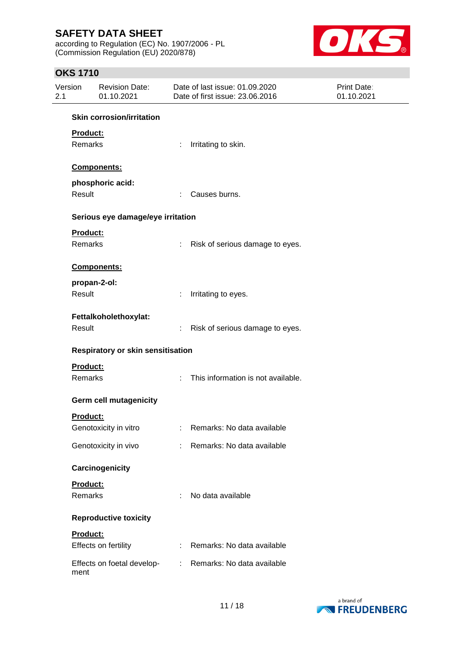according to Regulation (EC) No. 1907/2006 - PL (Commission Regulation (EU) 2020/878)



### **OKS 1710**

| Version<br>2.1 | <b>Revision Date:</b><br>01.10.2021 |                             | Date of last issue: 01.09.2020<br>Date of first issue: 23.06.2016 | <b>Print Date:</b><br>01.10.2021 |
|----------------|-------------------------------------|-----------------------------|-------------------------------------------------------------------|----------------------------------|
|                | <b>Skin corrosion/irritation</b>    |                             |                                                                   |                                  |
|                | Product:<br>Remarks                 | ÷.                          | Irritating to skin.                                               |                                  |
|                | Components:                         |                             |                                                                   |                                  |
| Result         | phosphoric acid:                    | ÷                           | Causes burns.                                                     |                                  |
|                | Serious eye damage/eye irritation   |                             |                                                                   |                                  |
|                | Product:<br>Remarks                 | ÷.                          | Risk of serious damage to eyes.                                   |                                  |
|                | Components:                         |                             |                                                                   |                                  |
| Result         | propan-2-ol:                        | ÷                           | Irritating to eyes.                                               |                                  |
| Result         | Fettalkoholethoxylat:               | ÷                           | Risk of serious damage to eyes.                                   |                                  |
|                | Respiratory or skin sensitisation   |                             |                                                                   |                                  |
|                | Product:<br>Remarks                 | ÷.                          | This information is not available.                                |                                  |
|                | Germ cell mutagenicity              |                             |                                                                   |                                  |
|                | Product:<br>Genotoxicity in vitro   |                             | Remarks: No data available                                        |                                  |
|                | Genotoxicity in vivo                |                             | : Remarks: No data available                                      |                                  |
|                | Carcinogenicity                     |                             |                                                                   |                                  |
|                | Product:<br>Remarks                 | ÷                           | No data available                                                 |                                  |
|                | <b>Reproductive toxicity</b>        |                             |                                                                   |                                  |
|                | Product:<br>Effects on fertility    | $\mathcal{L}^{\mathcal{L}}$ | Remarks: No data available                                        |                                  |
| ment           | Effects on foetal develop-          | ÷.                          | Remarks: No data available                                        |                                  |

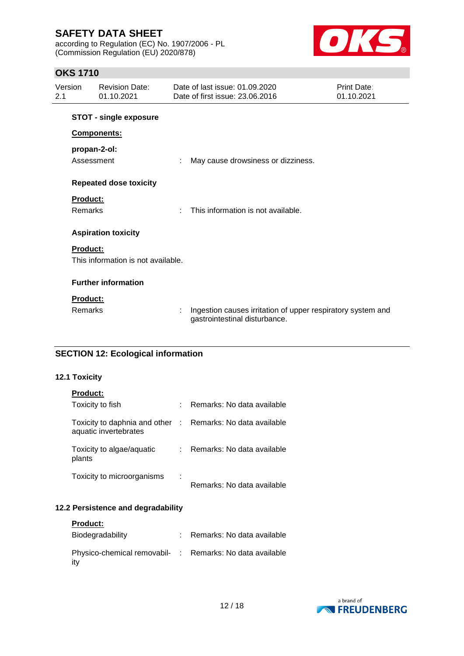according to Regulation (EC) No. 1907/2006 - PL (Commission Regulation (EU) 2020/878)



### **OKS 1710**

| Version<br>2.1 | <b>Revision Date:</b><br>01.10.2021 | Date of last issue: 01.09.2020<br>Date of first issue: 23,06,2016                            | Print Date:<br>01.10.2021 |
|----------------|-------------------------------------|----------------------------------------------------------------------------------------------|---------------------------|
|                | <b>STOT - single exposure</b>       |                                                                                              |                           |
|                | Components:                         |                                                                                              |                           |
| Assessment     | propan-2-ol:                        | May cause drowsiness or dizziness.                                                           |                           |
|                | <b>Repeated dose toxicity</b>       |                                                                                              |                           |
| Product:       |                                     |                                                                                              |                           |
| Remarks        |                                     | This information is not available.                                                           |                           |
|                | <b>Aspiration toxicity</b>          |                                                                                              |                           |
| Product:       |                                     |                                                                                              |                           |
|                | This information is not available.  |                                                                                              |                           |
|                | <b>Further information</b>          |                                                                                              |                           |
| Product:       |                                     |                                                                                              |                           |
| Remarks        |                                     | Ingestion causes irritation of upper respiratory system and<br>gastrointestinal disturbance. |                           |

### **SECTION 12: Ecological information**

#### **12.1 Toxicity**

| Toxicity to fish                                                                    | Remarks: No data available |
|-------------------------------------------------------------------------------------|----------------------------|
| Toxicity to daphnia and other : Remarks: No data available<br>aquatic invertebrates |                            |
| Toxicity to algae/aquatic<br>plants                                                 | Remarks: No data available |
| Toxicity to microorganisms                                                          | Remarks: No data available |

### **12.2 Persistence and degradability**

| <b>Product:</b> |  |
|-----------------|--|
|-----------------|--|

| Biodegradability                                                | Remarks: No data available |
|-----------------------------------------------------------------|----------------------------|
| Physico-chemical removabil- : Remarks: No data available<br>ity |                            |

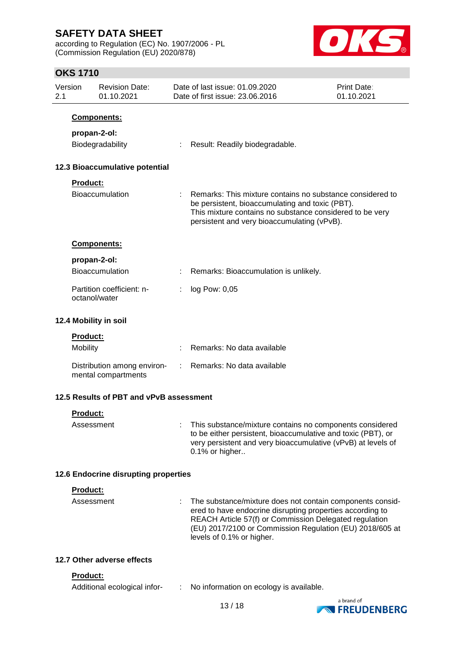according to Regulation (EC) No. 1907/2006 - PL (Commission Regulation (EU) 2020/878)



### **OKS 1710**

| Version<br>2.1 |                 | <b>Revision Date:</b><br>01.10.2021                | Date of last issue: 01.09.2020<br>Date of first issue: 23.06.2016                                                                                                                                                       | <b>Print Date:</b><br>01.10.2021 |
|----------------|-----------------|----------------------------------------------------|-------------------------------------------------------------------------------------------------------------------------------------------------------------------------------------------------------------------------|----------------------------------|
|                |                 | Components:                                        |                                                                                                                                                                                                                         |                                  |
|                | propan-2-ol:    |                                                    |                                                                                                                                                                                                                         |                                  |
|                |                 | Biodegradability                                   | Result: Readily biodegradable.                                                                                                                                                                                          |                                  |
|                |                 |                                                    |                                                                                                                                                                                                                         |                                  |
|                |                 | 12.3 Bioaccumulative potential                     |                                                                                                                                                                                                                         |                                  |
|                | <b>Product:</b> |                                                    |                                                                                                                                                                                                                         |                                  |
|                |                 | <b>Bioaccumulation</b>                             | Remarks: This mixture contains no substance considered to<br>be persistent, bioaccumulating and toxic (PBT).<br>This mixture contains no substance considered to be very<br>persistent and very bioaccumulating (vPvB). |                                  |
|                |                 | <b>Components:</b>                                 |                                                                                                                                                                                                                         |                                  |
|                | propan-2-ol:    |                                                    |                                                                                                                                                                                                                         |                                  |
|                |                 | Bioaccumulation                                    | Remarks: Bioaccumulation is unlikely.                                                                                                                                                                                   |                                  |
|                | octanol/water   | Partition coefficient: n-                          | log Pow: 0,05                                                                                                                                                                                                           |                                  |
|                |                 | 12.4 Mobility in soil                              |                                                                                                                                                                                                                         |                                  |
|                | <b>Product:</b> |                                                    |                                                                                                                                                                                                                         |                                  |
|                | Mobility        |                                                    | Remarks: No data available                                                                                                                                                                                              |                                  |
|                |                 | Distribution among environ-<br>mental compartments | : Remarks: No data available                                                                                                                                                                                            |                                  |
|                |                 | 12.5 Results of PBT and vPvB assessment            |                                                                                                                                                                                                                         |                                  |
|                | <b>Product:</b> |                                                    |                                                                                                                                                                                                                         |                                  |
|                | Assessment      |                                                    | This substance/mixture contains no components considered<br>to be either persistent, bioaccumulative and toxic (PBT), or<br>very persistent and very bioaccumulative (vPvB) at levels of<br>0.1% or higher              |                                  |
|                |                 | 12.6 Endocrine disrupting properties               |                                                                                                                                                                                                                         |                                  |
|                | Product:        |                                                    |                                                                                                                                                                                                                         |                                  |
|                | Assessment      |                                                    | The substance/mixture does not contain components consid-                                                                                                                                                               |                                  |
|                |                 |                                                    | ered to have endocrine disrupting properties according to<br>REACH Article 57(f) or Commission Delegated regulation<br>(EU) 2017/2100 or Commission Regulation (EU) 2018/605 at<br>levels of 0.1% or higher.            |                                  |
|                |                 | 12.7 Other adverse effects                         |                                                                                                                                                                                                                         |                                  |
|                | <b>Product:</b> |                                                    |                                                                                                                                                                                                                         |                                  |
|                |                 | Additional ecological infor-                       | No information on ecology is available.                                                                                                                                                                                 |                                  |

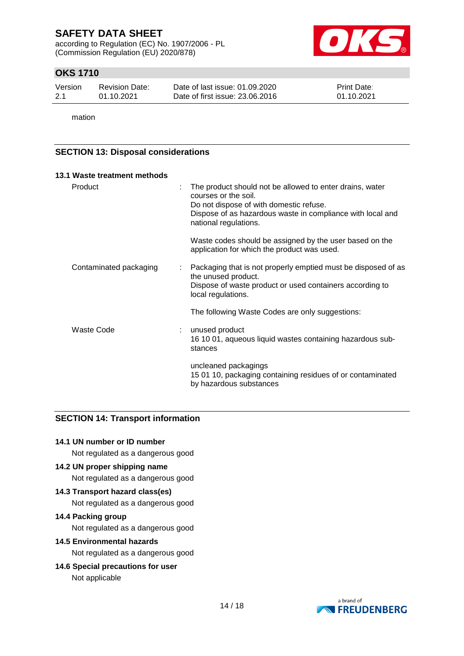according to Regulation (EC) No. 1907/2006 - PL (Commission Regulation (EU) 2020/878)



### **OKS 1710**

| Version | Revision Date: | Date of last issue: 01.09.2020  | <b>Print Date:</b> |
|---------|----------------|---------------------------------|--------------------|
| -2.1    | 01.10.2021     | Date of first issue: 23,06,2016 | 01.10.2021         |

mation

### **SECTION 13: Disposal considerations**

| 13.1 Waste treatment methods |   |                                                                                                                                                                                                                    |
|------------------------------|---|--------------------------------------------------------------------------------------------------------------------------------------------------------------------------------------------------------------------|
| Product                      |   | The product should not be allowed to enter drains, water<br>courses or the soil.<br>Do not dispose of with domestic refuse.<br>Dispose of as hazardous waste in compliance with local and<br>national regulations. |
|                              |   | Waste codes should be assigned by the user based on the<br>application for which the product was used.                                                                                                             |
| Contaminated packaging       | ÷ | Packaging that is not properly emptied must be disposed of as<br>the unused product.<br>Dispose of waste product or used containers according to<br>local regulations.                                             |
|                              |   | The following Waste Codes are only suggestions:                                                                                                                                                                    |
| Waste Code                   |   | unused product<br>16 10 01, aqueous liquid wastes containing hazardous sub-<br>stances                                                                                                                             |
|                              |   | uncleaned packagings<br>15 01 10, packaging containing residues of or contaminated<br>by hazardous substances                                                                                                      |

### **SECTION 14: Transport information**

#### **14.1 UN number or ID number**

Not regulated as a dangerous good

### **14.2 UN proper shipping name**

Not regulated as a dangerous good

#### **14.3 Transport hazard class(es)**

Not regulated as a dangerous good

#### **14.4 Packing group**

Not regulated as a dangerous good

#### **14.5 Environmental hazards**

Not regulated as a dangerous good

# **14.6 Special precautions for user**

Not applicable

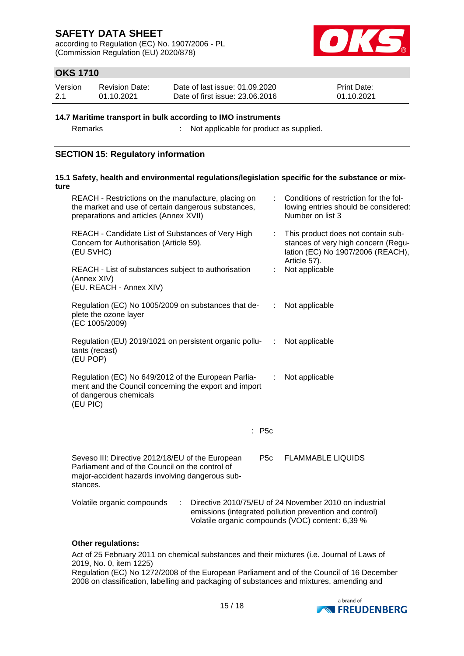according to Regulation (EC) No. 1907/2006 - PL (Commission Regulation (EU) 2020/878)



### **OKS 1710**

| Version | Revision Date: | Date of last issue: 01.09.2020  | <b>Print Date:</b> |
|---------|----------------|---------------------------------|--------------------|
| 2.1     | 01.10.2021     | Date of first issue: 23,06,2016 | 01.10.2021         |

#### **14.7 Maritime transport in bulk according to IMO instruments**

Remarks : Not applicable for product as supplied.

### **SECTION 15: Regulatory information**

| ture | 15.1 Safety, health and environmental regulations/legislation specific for the substance or mix-                                                                                       |   |                                                                                                                                                                       |
|------|----------------------------------------------------------------------------------------------------------------------------------------------------------------------------------------|---|-----------------------------------------------------------------------------------------------------------------------------------------------------------------------|
|      | REACH - Restrictions on the manufacture, placing on<br>the market and use of certain dangerous substances,<br>preparations and articles (Annex XVII)                                   |   | Conditions of restriction for the fol-<br>lowing entries should be considered:<br>Number on list 3                                                                    |
|      | REACH - Candidate List of Substances of Very High<br>Concern for Authorisation (Article 59).<br>(EU SVHC)                                                                              | ÷ | This product does not contain sub-<br>stances of very high concern (Regu-<br>lation (EC) No 1907/2006 (REACH),<br>Article 57).                                        |
|      | REACH - List of substances subject to authorisation<br>(Annex XIV)<br>(EU. REACH - Annex XIV)                                                                                          | ÷ | Not applicable                                                                                                                                                        |
|      | Regulation (EC) No 1005/2009 on substances that de-<br>plete the ozone layer<br>(EC 1005/2009)                                                                                         | ÷ | Not applicable                                                                                                                                                        |
|      | Regulation (EU) 2019/1021 on persistent organic pollu-<br>tants (recast)<br>(EU POP)                                                                                                   | ÷ | Not applicable                                                                                                                                                        |
|      | Regulation (EC) No 649/2012 of the European Parlia-<br>ment and the Council concerning the export and import<br>of dangerous chemicals<br>(EU PIC)                                     | ÷ | Not applicable                                                                                                                                                        |
|      | : P5c                                                                                                                                                                                  |   |                                                                                                                                                                       |
|      | Seveso III: Directive 2012/18/EU of the European<br>P <sub>5</sub> c<br>Parliament and of the Council on the control of<br>major-accident hazards involving dangerous sub-<br>stances. |   | <b>FLAMMABLE LIQUIDS</b>                                                                                                                                              |
|      | Volatile organic compounds<br>÷                                                                                                                                                        |   | Directive 2010/75/EU of 24 November 2010 on industrial<br>emissions (integrated pollution prevention and control)<br>Volatile organic compounds (VOC) content: 6,39 % |

### **Other regulations:**

Act of 25 February 2011 on chemical substances and their mixtures (i.e. Journal of Laws of 2019, No. 0, item 1225)

Regulation (EC) No 1272/2008 of the European Parliament and of the Council of 16 December 2008 on classification, labelling and packaging of substances and mixtures, amending and

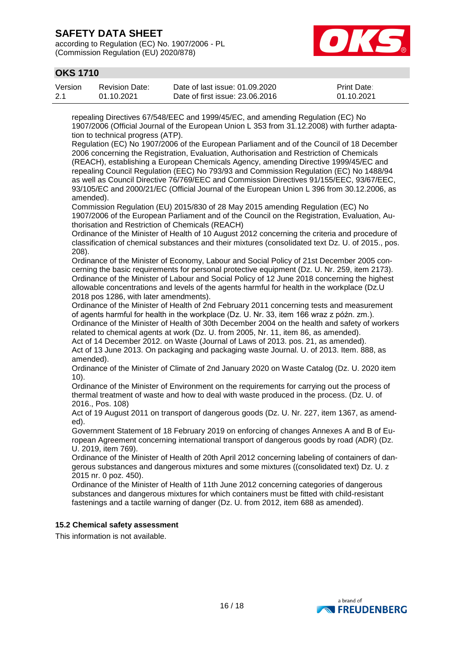according to Regulation (EC) No. 1907/2006 - PL (Commission Regulation (EU) 2020/878)



### **OKS 1710**

| Version | Revision Date: | Date of last issue: 01.09.2020  | <b>Print Date:</b> |
|---------|----------------|---------------------------------|--------------------|
| 2.1     | 01.10.2021     | Date of first issue: 23,06,2016 | 01.10.2021         |

repealing Directives 67/548/EEC and 1999/45/EC, and amending Regulation (EC) No 1907/2006 (Official Journal of the European Union L 353 from 31.12.2008) with further adaptation to technical progress (ATP).

Regulation (EC) No 1907/2006 of the European Parliament and of the Council of 18 December 2006 concerning the Registration, Evaluation, Authorisation and Restriction of Chemicals (REACH), establishing a European Chemicals Agency, amending Directive 1999/45/EC and repealing Council Regulation (EEC) No 793/93 and Commission Regulation (EC) No 1488/94 as well as Council Directive 76/769/EEC and Commission Directives 91/155/EEC, 93/67/EEC, 93/105/EC and 2000/21/EC (Official Journal of the European Union L 396 from 30.12.2006, as amended).

Commission Regulation (EU) 2015/830 of 28 May 2015 amending Regulation (EC) No 1907/2006 of the European Parliament and of the Council on the Registration, Evaluation, Authorisation and Restriction of Chemicals (REACH)

Ordinance of the Minister of Health of 10 August 2012 concerning the criteria and procedure of classification of chemical substances and their mixtures (consolidated text Dz. U. of 2015., pos. 208).

Ordinance of the Minister of Economy, Labour and Social Policy of 21st December 2005 concerning the basic requirements for personal protective equipment (Dz. U. Nr. 259, item 2173). Ordinance of the Minister of Labour and Social Policy of 12 June 2018 concerning the highest allowable concentrations and levels of the agents harmful for health in the workplace (Dz.U 2018 pos 1286, with later amendments).

Ordinance of the Minister of Health of 2nd February 2011 concerning tests and measurement of agents harmful for health in the workplace (Dz. U. Nr. 33, item 166 wraz z późn. zm.). Ordinance of the Minister of Health of 30th December 2004 on the health and safety of workers

related to chemical agents at work (Dz. U. from 2005, Nr. 11, item 86, as amended). Act of 14 December 2012. on Waste (Journal of Laws of 2013. pos. 21, as amended).

Act of 13 June 2013. On packaging and packaging waste Journal. U. of 2013. Item. 888, as amended).

Ordinance of the Minister of Climate of 2nd January 2020 on Waste Catalog (Dz. U. 2020 item 10).

Ordinance of the Minister of Environment on the requirements for carrying out the process of thermal treatment of waste and how to deal with waste produced in the process. (Dz. U. of 2016., Pos. 108)

Act of 19 August 2011 on transport of dangerous goods (Dz. U. Nr. 227, item 1367, as amended).

Government Statement of 18 February 2019 on enforcing of changes Annexes A and B of European Agreement concerning international transport of dangerous goods by road (ADR) (Dz. U. 2019, item 769).

Ordinance of the Minister of Health of 20th April 2012 concerning labeling of containers of dangerous substances and dangerous mixtures and some mixtures ((consolidated text) Dz. U. z 2015 nr. 0 poz. 450).

Ordinance of the Minister of Health of 11th June 2012 concerning categories of dangerous substances and dangerous mixtures for which containers must be fitted with child-resistant fastenings and a tactile warning of danger (Dz. U. from 2012, item 688 as amended).

### **15.2 Chemical safety assessment**

This information is not available.

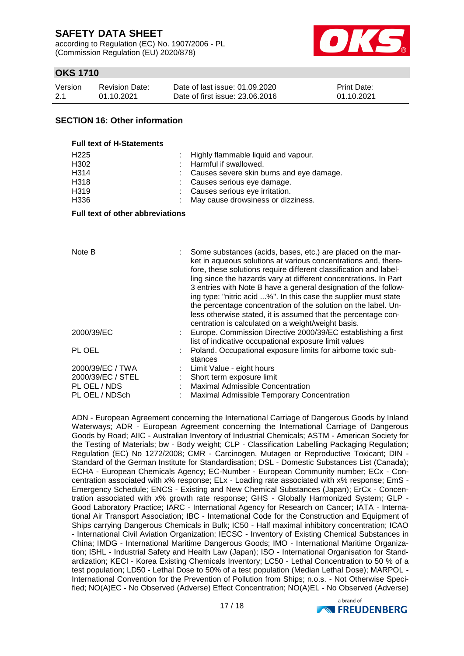according to Regulation (EC) No. 1907/2006 - PL (Commission Regulation (EU) 2020/878)



### **OKS 1710**

| Version | Revision Date: | Date of last issue: 01.09.2020  | <b>Print Date:</b> |
|---------|----------------|---------------------------------|--------------------|
| 2.1     | 01.10.2021     | Date of first issue: 23,06,2016 | 01.10.2021         |

#### **SECTION 16: Other information**

| <b>Full text of H-Statements</b>                                     |                                                                                                                                                                                                                |  |  |  |  |
|----------------------------------------------------------------------|----------------------------------------------------------------------------------------------------------------------------------------------------------------------------------------------------------------|--|--|--|--|
| H <sub>225</sub><br>H <sub>302</sub><br>H314<br>H318<br>H319<br>H336 | Highly flammable liquid and vapour.<br>Harmful if swallowed.<br>Causes severe skin burns and eye damage.<br>Causes serious eye damage.<br>Causes serious eye irritation.<br>May cause drowsiness or dizziness. |  |  |  |  |
| <b>Full text of other abbreviations</b>                              |                                                                                                                                                                                                                |  |  |  |  |

| Note B            | Some substances (acids, bases, etc.) are placed on the mar-<br>ket in aqueous solutions at various concentrations and, there-<br>fore, these solutions require different classification and label-<br>ling since the hazards vary at different concentrations. In Part<br>3 entries with Note B have a general designation of the follow-<br>ing type: "nitric acid %". In this case the supplier must state<br>the percentage concentration of the solution on the label. Un-<br>less otherwise stated, it is assumed that the percentage con-<br>centration is calculated on a weight/weight basis. |
|-------------------|-------------------------------------------------------------------------------------------------------------------------------------------------------------------------------------------------------------------------------------------------------------------------------------------------------------------------------------------------------------------------------------------------------------------------------------------------------------------------------------------------------------------------------------------------------------------------------------------------------|
| 2000/39/EC        | Europe. Commission Directive 2000/39/EC establishing a first<br>list of indicative occupational exposure limit values                                                                                                                                                                                                                                                                                                                                                                                                                                                                                 |
| PL OEL            | Poland. Occupational exposure limits for airborne toxic sub-<br>stances                                                                                                                                                                                                                                                                                                                                                                                                                                                                                                                               |
| 2000/39/EC / TWA  | Limit Value - eight hours                                                                                                                                                                                                                                                                                                                                                                                                                                                                                                                                                                             |
| 2000/39/EC / STEL | Short term exposure limit                                                                                                                                                                                                                                                                                                                                                                                                                                                                                                                                                                             |
| PL OEL / NDS      | <b>Maximal Admissible Concentration</b>                                                                                                                                                                                                                                                                                                                                                                                                                                                                                                                                                               |
| PL OEL / NDSch    | Maximal Admissible Temporary Concentration                                                                                                                                                                                                                                                                                                                                                                                                                                                                                                                                                            |

ADN - European Agreement concerning the International Carriage of Dangerous Goods by Inland Waterways; ADR - European Agreement concerning the International Carriage of Dangerous Goods by Road; AIIC - Australian Inventory of Industrial Chemicals; ASTM - American Society for the Testing of Materials; bw - Body weight; CLP - Classification Labelling Packaging Regulation; Regulation (EC) No 1272/2008; CMR - Carcinogen, Mutagen or Reproductive Toxicant; DIN - Standard of the German Institute for Standardisation; DSL - Domestic Substances List (Canada); ECHA - European Chemicals Agency; EC-Number - European Community number; ECx - Concentration associated with x% response; ELx - Loading rate associated with x% response; EmS - Emergency Schedule; ENCS - Existing and New Chemical Substances (Japan); ErCx - Concentration associated with x% growth rate response; GHS - Globally Harmonized System; GLP - Good Laboratory Practice; IARC - International Agency for Research on Cancer; IATA - International Air Transport Association; IBC - International Code for the Construction and Equipment of Ships carrying Dangerous Chemicals in Bulk; IC50 - Half maximal inhibitory concentration; ICAO - International Civil Aviation Organization; IECSC - Inventory of Existing Chemical Substances in China; IMDG - International Maritime Dangerous Goods; IMO - International Maritime Organization; ISHL - Industrial Safety and Health Law (Japan); ISO - International Organisation for Standardization; KECI - Korea Existing Chemicals Inventory; LC50 - Lethal Concentration to 50 % of a test population; LD50 - Lethal Dose to 50% of a test population (Median Lethal Dose); MARPOL - International Convention for the Prevention of Pollution from Ships; n.o.s. - Not Otherwise Specified; NO(A)EC - No Observed (Adverse) Effect Concentration; NO(A)EL - No Observed (Adverse)